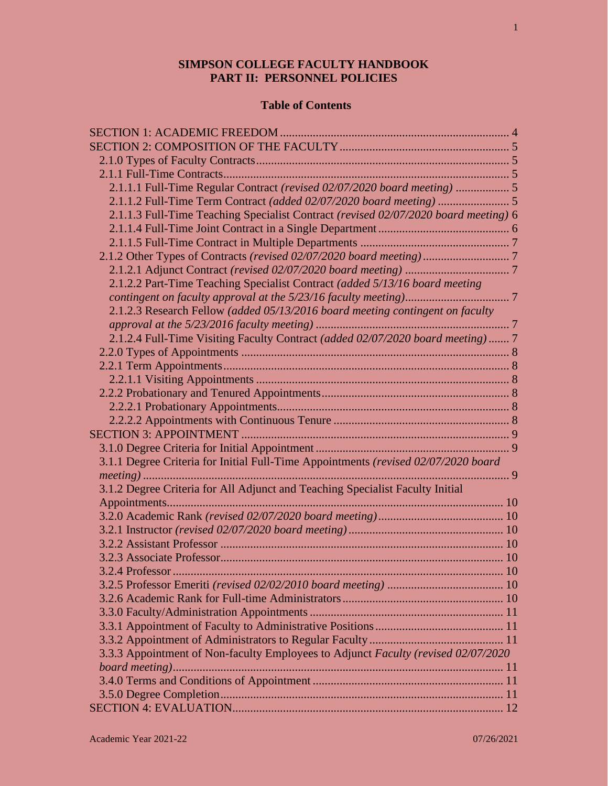# **SIMPSON COLLEGE FACULTY HANDBOOK PART II: PERSONNEL POLICIES**

# **Table of Contents**

| 2.1.1.1 Full-Time Regular Contract (revised 02/07/2020 board meeting)  5            |  |
|-------------------------------------------------------------------------------------|--|
|                                                                                     |  |
| 2.1.1.3 Full-Time Teaching Specialist Contract (revised 02/07/2020 board meeting) 6 |  |
|                                                                                     |  |
|                                                                                     |  |
|                                                                                     |  |
|                                                                                     |  |
| 2.1.2.2 Part-Time Teaching Specialist Contract (added 5/13/16 board meeting         |  |
|                                                                                     |  |
| 2.1.2.3 Research Fellow (added 05/13/2016 board meeting contingent on faculty       |  |
|                                                                                     |  |
| 2.1.2.4 Full-Time Visiting Faculty Contract (added 02/07/2020 board meeting)  7     |  |
|                                                                                     |  |
|                                                                                     |  |
|                                                                                     |  |
|                                                                                     |  |
|                                                                                     |  |
|                                                                                     |  |
|                                                                                     |  |
|                                                                                     |  |
| 3.1.1 Degree Criteria for Initial Full-Time Appointments (revised 02/07/2020 board  |  |
|                                                                                     |  |
| 3.1.2 Degree Criteria for All Adjunct and Teaching Specialist Faculty Initial       |  |
|                                                                                     |  |
|                                                                                     |  |
|                                                                                     |  |
|                                                                                     |  |
|                                                                                     |  |
| 3.2.4 Professor                                                                     |  |
|                                                                                     |  |
|                                                                                     |  |
|                                                                                     |  |
|                                                                                     |  |
|                                                                                     |  |
| 3.3.3 Appointment of Non-faculty Employees to Adjunct Faculty (revised 02/07/2020   |  |
|                                                                                     |  |
|                                                                                     |  |
|                                                                                     |  |
|                                                                                     |  |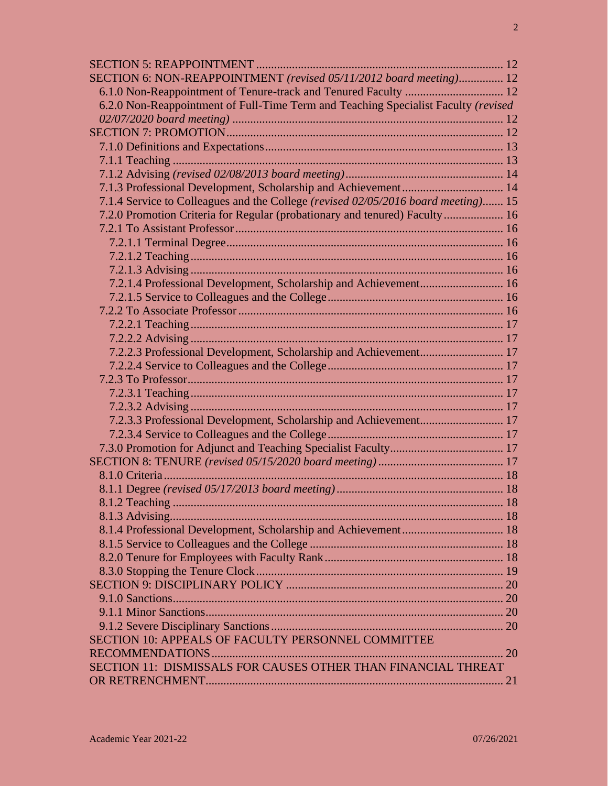| SECTION 6: NON-REAPPOINTMENT (revised 05/11/2012 board meeting) 12                 |  |
|------------------------------------------------------------------------------------|--|
|                                                                                    |  |
| 6.2.0 Non-Reappointment of Full-Time Term and Teaching Specialist Faculty (revised |  |
|                                                                                    |  |
|                                                                                    |  |
|                                                                                    |  |
|                                                                                    |  |
|                                                                                    |  |
|                                                                                    |  |
| 7.1.4 Service to Colleagues and the College (revised 02/05/2016 board meeting) 15  |  |
| 7.2.0 Promotion Criteria for Regular (probationary and tenured) Faculty  16        |  |
|                                                                                    |  |
|                                                                                    |  |
|                                                                                    |  |
|                                                                                    |  |
| 7.2.1.4 Professional Development, Scholarship and Achievement 16                   |  |
|                                                                                    |  |
|                                                                                    |  |
|                                                                                    |  |
|                                                                                    |  |
|                                                                                    |  |
|                                                                                    |  |
|                                                                                    |  |
|                                                                                    |  |
|                                                                                    |  |
|                                                                                    |  |
|                                                                                    |  |
|                                                                                    |  |
|                                                                                    |  |
|                                                                                    |  |
|                                                                                    |  |
| 8.1.2 Teaching                                                                     |  |
|                                                                                    |  |
|                                                                                    |  |
|                                                                                    |  |
|                                                                                    |  |
|                                                                                    |  |
|                                                                                    |  |
|                                                                                    |  |
|                                                                                    |  |
|                                                                                    |  |
| SECTION 10: APPEALS OF FACULTY PERSONNEL COMMITTEE                                 |  |
|                                                                                    |  |
| SECTION 11: DISMISSALS FOR CAUSES OTHER THAN FINANCIAL THREAT                      |  |
|                                                                                    |  |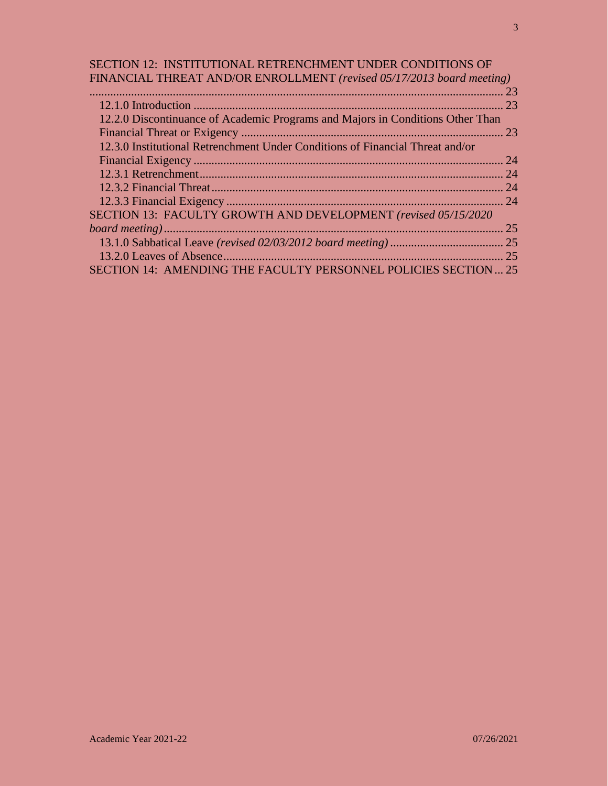# SECTION 12: INSTITUTIONAL RETRENCHMENT UNDER CONDITIONS OF FINANCIAL THREAT AND/OR ENROLLMENT *(revised 05/17/2013 board meeting)*

| TINANCIAE THINEAT AND/ON ENNOEEMENT (Tevised 03/17/2013 board meeting)         |    |
|--------------------------------------------------------------------------------|----|
|                                                                                |    |
|                                                                                |    |
| 12.2.0 Discontinuance of Academic Programs and Majors in Conditions Other Than |    |
|                                                                                |    |
| 12.3.0 Institutional Retrenchment Under Conditions of Financial Threat and/or  |    |
|                                                                                |    |
|                                                                                |    |
|                                                                                |    |
|                                                                                |    |
| SECTION 13: FACULTY GROWTH AND DEVELOPMENT (revised 05/15/2020)                |    |
|                                                                                | 25 |
|                                                                                |    |
|                                                                                |    |
| SECTION 14: AMENDING THE FACULTY PERSONNEL POLICIES SECTION  25                |    |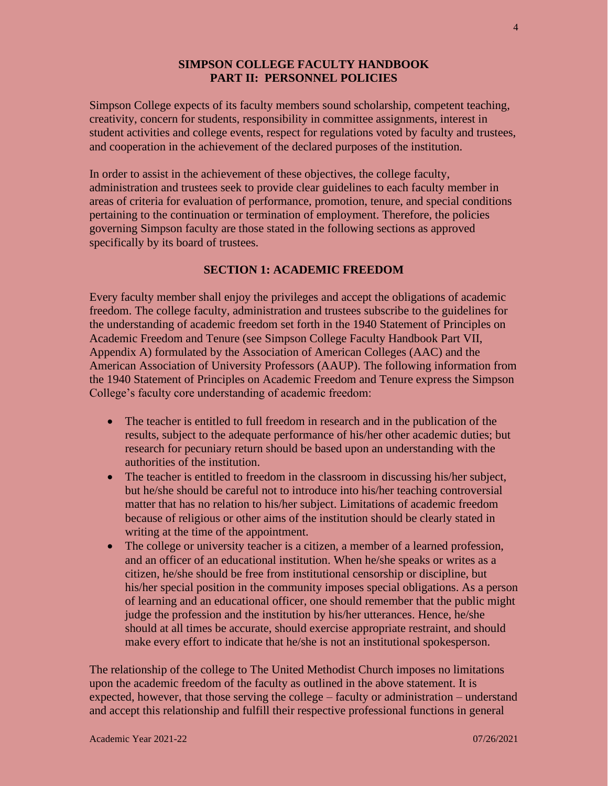#### **SIMPSON COLLEGE FACULTY HANDBOOK PART II: PERSONNEL POLICIES**

Simpson College expects of its faculty members sound scholarship, competent teaching, creativity, concern for students, responsibility in committee assignments, interest in student activities and college events, respect for regulations voted by faculty and trustees, and cooperation in the achievement of the declared purposes of the institution.

In order to assist in the achievement of these objectives, the college faculty, administration and trustees seek to provide clear guidelines to each faculty member in areas of criteria for evaluation of performance, promotion, tenure, and special conditions pertaining to the continuation or termination of employment. Therefore, the policies governing Simpson faculty are those stated in the following sections as approved specifically by its board of trustees.

# **SECTION 1: ACADEMIC FREEDOM**

Every faculty member shall enjoy the privileges and accept the obligations of academic freedom. The college faculty, administration and trustees subscribe to the guidelines for the understanding of academic freedom set forth in the 1940 Statement of Principles on Academic Freedom and Tenure (see Simpson College Faculty Handbook Part VII, Appendix A) formulated by the Association of American Colleges (AAC) and the American Association of University Professors (AAUP). The following information from the 1940 Statement of Principles on Academic Freedom and Tenure express the Simpson College's faculty core understanding of academic freedom:

- The teacher is entitled to full freedom in research and in the publication of the results, subject to the adequate performance of his/her other academic duties; but research for pecuniary return should be based upon an understanding with the authorities of the institution.
- The teacher is entitled to freedom in the classroom in discussing his/her subject, but he/she should be careful not to introduce into his/her teaching controversial matter that has no relation to his/her subject. Limitations of academic freedom because of religious or other aims of the institution should be clearly stated in writing at the time of the appointment.
- The college or university teacher is a citizen, a member of a learned profession, and an officer of an educational institution. When he/she speaks or writes as a citizen, he/she should be free from institutional censorship or discipline, but his/her special position in the community imposes special obligations. As a person of learning and an educational officer, one should remember that the public might judge the profession and the institution by his/her utterances. Hence, he/she should at all times be accurate, should exercise appropriate restraint, and should make every effort to indicate that he/she is not an institutional spokesperson.

The relationship of the college to The United Methodist Church imposes no limitations upon the academic freedom of the faculty as outlined in the above statement. It is expected, however, that those serving the college – faculty or administration – understand and accept this relationship and fulfill their respective professional functions in general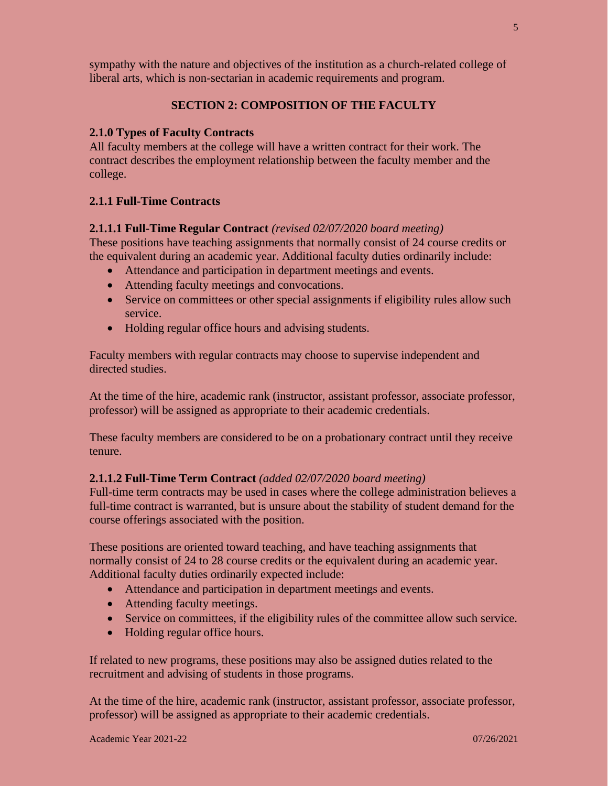sympathy with the nature and objectives of the institution as a church-related college of liberal arts, which is non-sectarian in academic requirements and program.

# **SECTION 2: COMPOSITION OF THE FACULTY**

#### **2.1.0 Types of Faculty Contracts**

All faculty members at the college will have a written contract for their work. The contract describes the employment relationship between the faculty member and the college.

#### **2.1.1 Full-Time Contracts**

#### **2.1.1.1 Full-Time Regular Contract** *(revised 02/07/2020 board meeting)*

These positions have teaching assignments that normally consist of 24 course credits or the equivalent during an academic year. Additional faculty duties ordinarily include:

- Attendance and participation in department meetings and events.
- Attending faculty meetings and convocations.
- Service on committees or other special assignments if eligibility rules allow such service.
- Holding regular office hours and advising students.

Faculty members with regular contracts may choose to supervise independent and directed studies.

At the time of the hire, academic rank (instructor, assistant professor, associate professor, professor) will be assigned as appropriate to their academic credentials.

These faculty members are considered to be on a probationary contract until they receive tenure.

#### **2.1.1.2 Full-Time Term Contract** *(added 02/07/2020 board meeting)*

Full-time term contracts may be used in cases where the college administration believes a full-time contract is warranted, but is unsure about the stability of student demand for the course offerings associated with the position.

These positions are oriented toward teaching, and have teaching assignments that normally consist of 24 to 28 course credits or the equivalent during an academic year. Additional faculty duties ordinarily expected include:

- Attendance and participation in department meetings and events.
- Attending faculty meetings.
- Service on committees, if the eligibility rules of the committee allow such service.
- Holding regular office hours.

If related to new programs, these positions may also be assigned duties related to the recruitment and advising of students in those programs.

At the time of the hire, academic rank (instructor, assistant professor, associate professor, professor) will be assigned as appropriate to their academic credentials.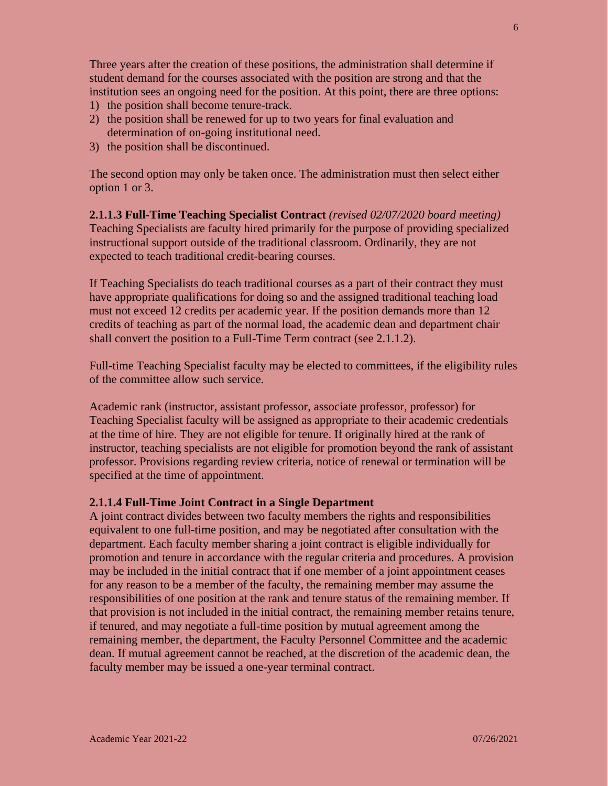Three years after the creation of these positions, the administration shall determine if student demand for the courses associated with the position are strong and that the institution sees an ongoing need for the position. At this point, there are three options:

- 1) the position shall become tenure-track.
- 2) the position shall be renewed for up to two years for final evaluation and determination of on-going institutional need.
- 3) the position shall be discontinued.

The second option may only be taken once. The administration must then select either option 1 or 3.

**2.1.1.3 Full-Time Teaching Specialist Contract** *(revised 02/07/2020 board meeting)* Teaching Specialists are faculty hired primarily for the purpose of providing specialized instructional support outside of the traditional classroom. Ordinarily, they are not expected to teach traditional credit-bearing courses.

If Teaching Specialists do teach traditional courses as a part of their contract they must have appropriate qualifications for doing so and the assigned traditional teaching load must not exceed 12 credits per academic year. If the position demands more than 12 credits of teaching as part of the normal load, the academic dean and department chair shall convert the position to a Full-Time Term contract (see 2.1.1.2).

Full-time Teaching Specialist faculty may be elected to committees, if the eligibility rules of the committee allow such service.

Academic rank (instructor, assistant professor, associate professor, professor) for Teaching Specialist faculty will be assigned as appropriate to their academic credentials at the time of hire. They are not eligible for tenure. If originally hired at the rank of instructor, teaching specialists are not eligible for promotion beyond the rank of assistant professor. Provisions regarding review criteria, notice of renewal or termination will be specified at the time of appointment.

#### **2.1.1.4 Full-Time Joint Contract in a Single Department**

A joint contract divides between two faculty members the rights and responsibilities equivalent to one full-time position, and may be negotiated after consultation with the department. Each faculty member sharing a joint contract is eligible individually for promotion and tenure in accordance with the regular criteria and procedures. A provision may be included in the initial contract that if one member of a joint appointment ceases for any reason to be a member of the faculty, the remaining member may assume the responsibilities of one position at the rank and tenure status of the remaining member. If that provision is not included in the initial contract, the remaining member retains tenure, if tenured, and may negotiate a full-time position by mutual agreement among the remaining member, the department, the Faculty Personnel Committee and the academic dean. If mutual agreement cannot be reached, at the discretion of the academic dean, the faculty member may be issued a one-year terminal contract.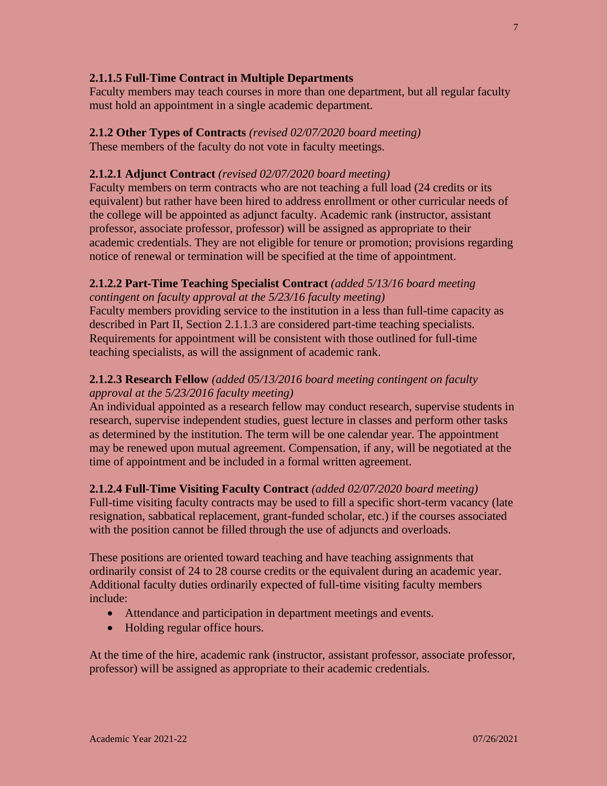# **2.1.1.5 Full-Time Contract in Multiple Departments**

Faculty members may teach courses in more than one department, but all regular faculty must hold an appointment in a single academic department.

# **2.1.2 Other Types of Contracts** *(revised 02/07/2020 board meeting)*

These members of the faculty do not vote in faculty meetings.

# **2.1.2.1 Adjunct Contract** *(revised 02/07/2020 board meeting)*

Faculty members on term contracts who are not teaching a full load (24 credits or its equivalent) but rather have been hired to address enrollment or other curricular needs of the college will be appointed as adjunct faculty. Academic rank (instructor, assistant professor, associate professor, professor) will be assigned as appropriate to their academic credentials. They are not eligible for tenure or promotion; provisions regarding notice of renewal or termination will be specified at the time of appointment.

# **2.1.2.2 Part-Time Teaching Specialist Contract** *(added 5/13/16 board meeting*

*contingent on faculty approval at the 5/23/16 faculty meeting)* Faculty members providing service to the institution in a less than full-time capacity as described in Part II, Section 2.1.1.3 are considered part-time teaching specialists. Requirements for appointment will be consistent with those outlined for full-time

# teaching specialists, as will the assignment of academic rank.

# **2.1.2.3 Research Fellow** *(added 05/13/2016 board meeting contingent on faculty approval at the 5/23/2016 faculty meeting)*

An individual appointed as a research fellow may conduct research, supervise students in research, supervise independent studies, guest lecture in classes and perform other tasks as determined by the institution. The term will be one calendar year. The appointment may be renewed upon mutual agreement. Compensation, if any, will be negotiated at the time of appointment and be included in a formal written agreement.

# **2.1.2.4 Full-Time Visiting Faculty Contract** *(added 02/07/2020 board meeting)*

Full-time visiting faculty contracts may be used to fill a specific short-term vacancy (late resignation, sabbatical replacement, grant-funded scholar, etc.) if the courses associated with the position cannot be filled through the use of adjuncts and overloads.

These positions are oriented toward teaching and have teaching assignments that ordinarily consist of 24 to 28 course credits or the equivalent during an academic year. Additional faculty duties ordinarily expected of full-time visiting faculty members include:

- Attendance and participation in department meetings and events.
- Holding regular office hours.

At the time of the hire, academic rank (instructor, assistant professor, associate professor, professor) will be assigned as appropriate to their academic credentials.

7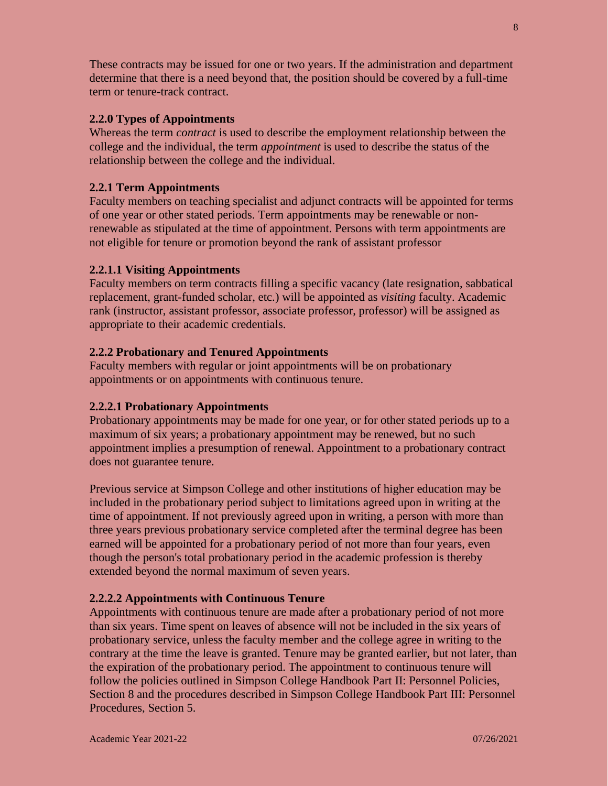These contracts may be issued for one or two years. If the administration and department determine that there is a need beyond that, the position should be covered by a full-time term or tenure-track contract.

#### **2.2.0 Types of Appointments**

Whereas the term *contract* is used to describe the employment relationship between the college and the individual, the term *appointment* is used to describe the status of the relationship between the college and the individual.

# **2.2.1 Term Appointments**

Faculty members on teaching specialist and adjunct contracts will be appointed for terms of one year or other stated periods. Term appointments may be renewable or nonrenewable as stipulated at the time of appointment. Persons with term appointments are not eligible for tenure or promotion beyond the rank of assistant professor

# **2.2.1.1 Visiting Appointments**

Faculty members on term contracts filling a specific vacancy (late resignation, sabbatical replacement, grant-funded scholar, etc.) will be appointed as *visiting* faculty. Academic rank (instructor, assistant professor, associate professor, professor) will be assigned as appropriate to their academic credentials.

# **2.2.2 Probationary and Tenured Appointments**

Faculty members with regular or joint appointments will be on probationary appointments or on appointments with continuous tenure.

# **2.2.2.1 Probationary Appointments**

Probationary appointments may be made for one year, or for other stated periods up to a maximum of six years; a probationary appointment may be renewed, but no such appointment implies a presumption of renewal. Appointment to a probationary contract does not guarantee tenure.

Previous service at Simpson College and other institutions of higher education may be included in the probationary period subject to limitations agreed upon in writing at the time of appointment. If not previously agreed upon in writing, a person with more than three years previous probationary service completed after the terminal degree has been earned will be appointed for a probationary period of not more than four years, even though the person's total probationary period in the academic profession is thereby extended beyond the normal maximum of seven years.

# **2.2.2.2 Appointments with Continuous Tenure**

Appointments with continuous tenure are made after a probationary period of not more than six years. Time spent on leaves of absence will not be included in the six years of probationary service, unless the faculty member and the college agree in writing to the contrary at the time the leave is granted. Tenure may be granted earlier, but not later, than the expiration of the probationary period. The appointment to continuous tenure will follow the policies outlined in Simpson College Handbook Part II: Personnel Policies, Section 8 and the procedures described in Simpson College Handbook Part III: Personnel Procedures, Section 5.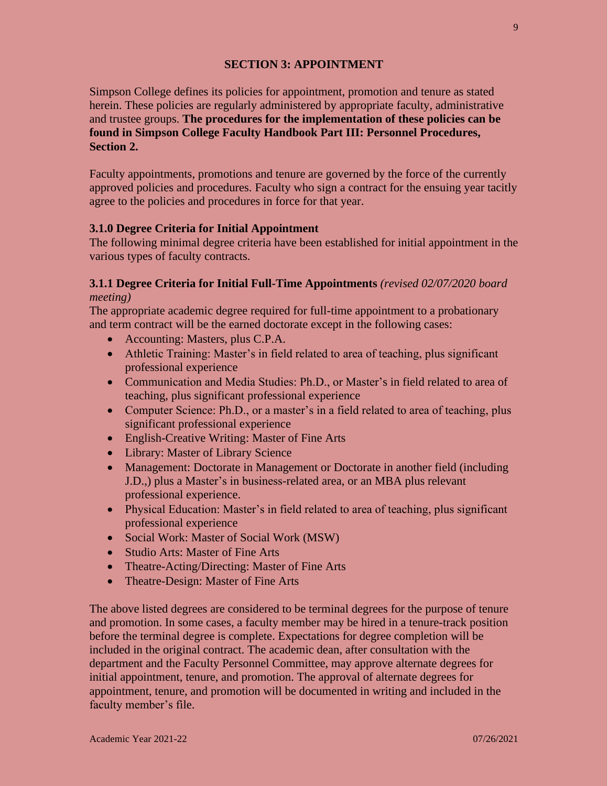# **SECTION 3: APPOINTMENT**

Simpson College defines its policies for appointment, promotion and tenure as stated herein. These policies are regularly administered by appropriate faculty, administrative and trustee groups. **The procedures for the implementation of these policies can be found in Simpson College Faculty Handbook Part III: Personnel Procedures, Section 2.**

Faculty appointments, promotions and tenure are governed by the force of the currently approved policies and procedures. Faculty who sign a contract for the ensuing year tacitly agree to the policies and procedures in force for that year.

#### **3.1.0 Degree Criteria for Initial Appointment**

The following minimal degree criteria have been established for initial appointment in the various types of faculty contracts.

# **3.1.1 Degree Criteria for Initial Full-Time Appointments** *(revised 02/07/2020 board*

*meeting)*

The appropriate academic degree required for full-time appointment to a probationary and term contract will be the earned doctorate except in the following cases:

- Accounting: Masters, plus C.P.A.
- Athletic Training: Master's in field related to area of teaching, plus significant professional experience
- Communication and Media Studies: Ph.D., or Master's in field related to area of teaching, plus significant professional experience
- Computer Science: Ph.D., or a master's in a field related to area of teaching, plus significant professional experience
- English-Creative Writing: Master of Fine Arts
- Library: Master of Library Science
- Management: Doctorate in Management or Doctorate in another field (including J.D.,) plus a Master's in business-related area, or an MBA plus relevant professional experience.
- Physical Education: Master's in field related to area of teaching, plus significant professional experience
- Social Work: Master of Social Work (MSW)
- Studio Arts: Master of Fine Arts
- Theatre-Acting/Directing: Master of Fine Arts
- Theatre-Design: Master of Fine Arts

The above listed degrees are considered to be terminal degrees for the purpose of tenure and promotion. In some cases, a faculty member may be hired in a tenure-track position before the terminal degree is complete. Expectations for degree completion will be included in the original contract. The academic dean, after consultation with the department and the Faculty Personnel Committee, may approve alternate degrees for initial appointment, tenure, and promotion. The approval of alternate degrees for appointment, tenure, and promotion will be documented in writing and included in the faculty member's file.

9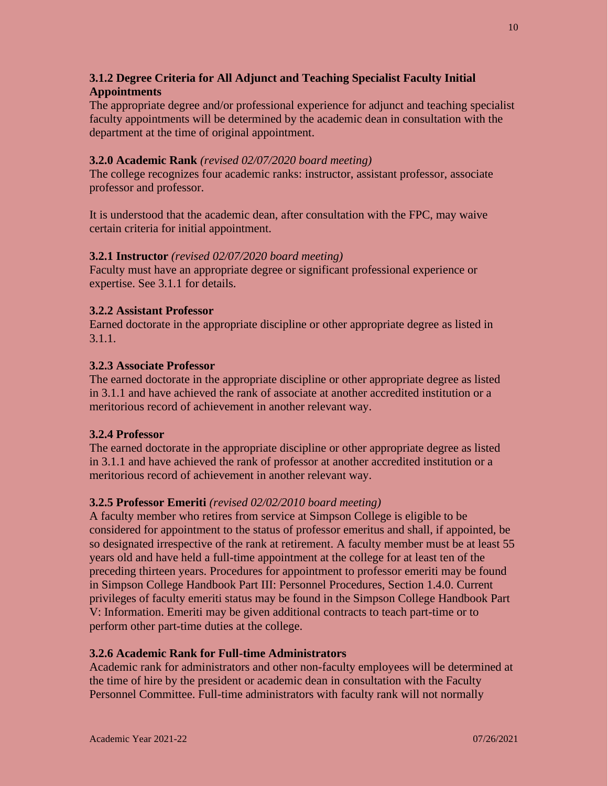# **3.1.2 Degree Criteria for All Adjunct and Teaching Specialist Faculty Initial Appointments**

The appropriate degree and/or professional experience for adjunct and teaching specialist faculty appointments will be determined by the academic dean in consultation with the department at the time of original appointment.

# **3.2.0 Academic Rank** *(revised 02/07/2020 board meeting)*

The college recognizes four academic ranks: instructor, assistant professor, associate professor and professor.

It is understood that the academic dean, after consultation with the FPC, may waive certain criteria for initial appointment.

# **3.2.1 Instructor** *(revised 02/07/2020 board meeting)*

Faculty must have an appropriate degree or significant professional experience or expertise. See 3.1.1 for details.

# **3.2.2 Assistant Professor**

Earned doctorate in the appropriate discipline or other appropriate degree as listed in 3.1.1.

# **3.2.3 Associate Professor**

The earned doctorate in the appropriate discipline or other appropriate degree as listed in 3.1.1 and have achieved the rank of associate at another accredited institution or a meritorious record of achievement in another relevant way.

#### **3.2.4 Professor**

The earned doctorate in the appropriate discipline or other appropriate degree as listed in 3.1.1 and have achieved the rank of professor at another accredited institution or a meritorious record of achievement in another relevant way.

# **3.2.5 Professor Emeriti** *(revised 02/02/2010 board meeting)*

A faculty member who retires from service at Simpson College is eligible to be considered for appointment to the status of professor emeritus and shall, if appointed, be so designated irrespective of the rank at retirement. A faculty member must be at least 55 years old and have held a full-time appointment at the college for at least ten of the preceding thirteen years. Procedures for appointment to professor emeriti may be found in Simpson College Handbook Part III: Personnel Procedures, Section 1.4.0. Current privileges of faculty emeriti status may be found in the Simpson College Handbook Part V: Information. Emeriti may be given additional contracts to teach part-time or to perform other part-time duties at the college.

# **3.2.6 Academic Rank for Full-time Administrators**

Academic rank for administrators and other non-faculty employees will be determined at the time of hire by the president or academic dean in consultation with the Faculty Personnel Committee. Full-time administrators with faculty rank will not normally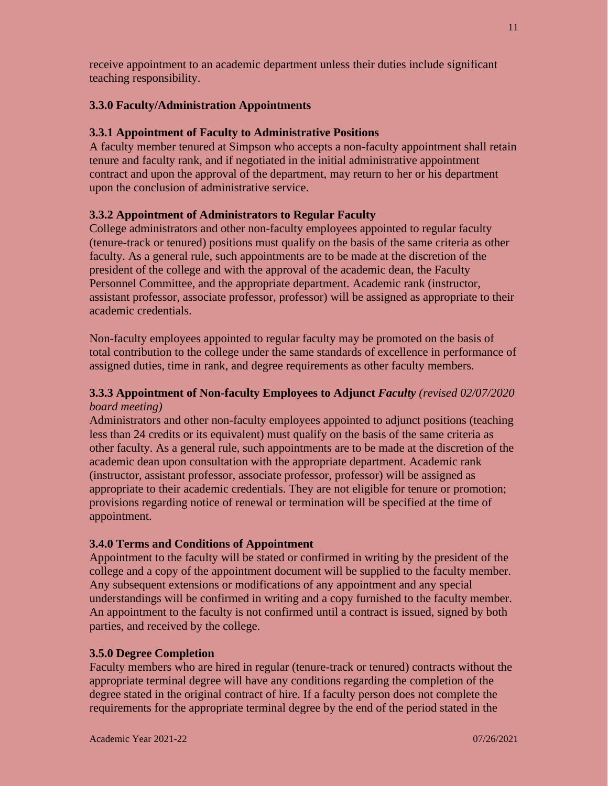receive appointment to an academic department unless their duties include significant teaching responsibility.

#### **3.3.0 Faculty/Administration Appointments**

#### **3.3.1 Appointment of Faculty to Administrative Positions**

A faculty member tenured at Simpson who accepts a non-faculty appointment shall retain tenure and faculty rank, and if negotiated in the initial administrative appointment contract and upon the approval of the department, may return to her or his department upon the conclusion of administrative service.

#### **3.3.2 Appointment of Administrators to Regular Faculty**

College administrators and other non-faculty employees appointed to regular faculty (tenure-track or tenured) positions must qualify on the basis of the same criteria as other faculty. As a general rule, such appointments are to be made at the discretion of the president of the college and with the approval of the academic dean, the Faculty Personnel Committee, and the appropriate department. Academic rank (instructor, assistant professor, associate professor, professor) will be assigned as appropriate to their academic credentials.

Non-faculty employees appointed to regular faculty may be promoted on the basis of total contribution to the college under the same standards of excellence in performance of assigned duties, time in rank, and degree requirements as other faculty members.

# **3.3.3 Appointment of Non-faculty Employees to Adjunct** *Faculty (revised 02/07/2020 board meeting)*

Administrators and other non-faculty employees appointed to adjunct positions (teaching less than 24 credits or its equivalent) must qualify on the basis of the same criteria as other faculty. As a general rule, such appointments are to be made at the discretion of the academic dean upon consultation with the appropriate department. Academic rank (instructor, assistant professor, associate professor, professor) will be assigned as appropriate to their academic credentials. They are not eligible for tenure or promotion; provisions regarding notice of renewal or termination will be specified at the time of appointment.

#### **3.4.0 Terms and Conditions of Appointment**

Appointment to the faculty will be stated or confirmed in writing by the president of the college and a copy of the appointment document will be supplied to the faculty member. Any subsequent extensions or modifications of any appointment and any special understandings will be confirmed in writing and a copy furnished to the faculty member. An appointment to the faculty is not confirmed until a contract is issued, signed by both parties, and received by the college.

#### **3.5.0 Degree Completion**

Faculty members who are hired in regular (tenure-track or tenured) contracts without the appropriate terminal degree will have any conditions regarding the completion of the degree stated in the original contract of hire. If a faculty person does not complete the requirements for the appropriate terminal degree by the end of the period stated in the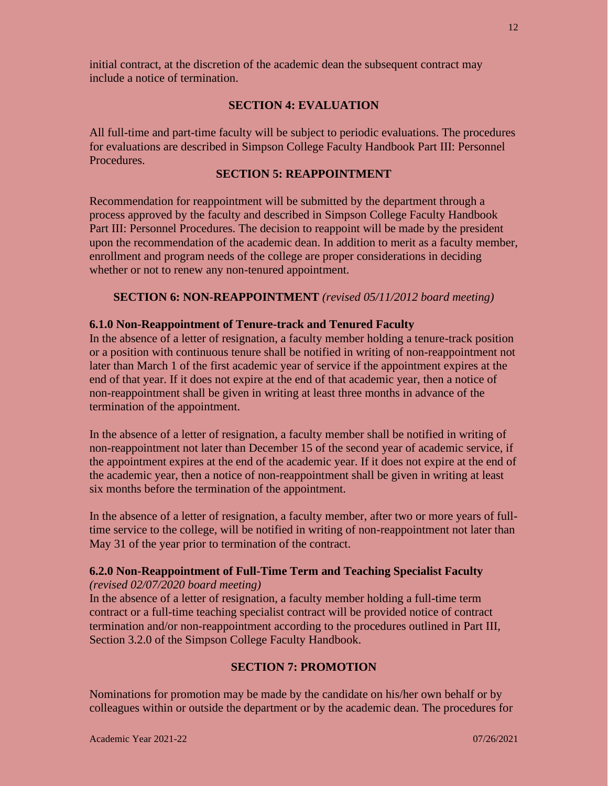initial contract, at the discretion of the academic dean the subsequent contract may include a notice of termination.

#### **SECTION 4: EVALUATION**

All full-time and part-time faculty will be subject to periodic evaluations. The procedures for evaluations are described in Simpson College Faculty Handbook Part III: Personnel Procedures.

#### **SECTION 5: REAPPOINTMENT**

Recommendation for reappointment will be submitted by the department through a process approved by the faculty and described in Simpson College Faculty Handbook Part III: Personnel Procedures. The decision to reappoint will be made by the president upon the recommendation of the academic dean. In addition to merit as a faculty member, enrollment and program needs of the college are proper considerations in deciding whether or not to renew any non-tenured appointment.

#### **SECTION 6: NON-REAPPOINTMENT** *(revised 05/11/2012 board meeting)*

#### **6.1.0 Non-Reappointment of Tenure-track and Tenured Faculty**

In the absence of a letter of resignation, a faculty member holding a tenure-track position or a position with continuous tenure shall be notified in writing of non-reappointment not later than March 1 of the first academic year of service if the appointment expires at the end of that year. If it does not expire at the end of that academic year, then a notice of non-reappointment shall be given in writing at least three months in advance of the termination of the appointment.

In the absence of a letter of resignation, a faculty member shall be notified in writing of non-reappointment not later than December 15 of the second year of academic service, if the appointment expires at the end of the academic year. If it does not expire at the end of the academic year, then a notice of non-reappointment shall be given in writing at least six months before the termination of the appointment.

In the absence of a letter of resignation, a faculty member, after two or more years of fulltime service to the college, will be notified in writing of non-reappointment not later than May 31 of the year prior to termination of the contract.

# **6.2.0 Non-Reappointment of Full-Time Term and Teaching Specialist Faculty**

*(revised 02/07/2020 board meeting)*

In the absence of a letter of resignation, a faculty member holding a full-time term contract or a full-time teaching specialist contract will be provided notice of contract termination and/or non-reappointment according to the procedures outlined in Part III, Section 3.2.0 of the Simpson College Faculty Handbook.

# **SECTION 7: PROMOTION**

Nominations for promotion may be made by the candidate on his/her own behalf or by colleagues within or outside the department or by the academic dean. The procedures for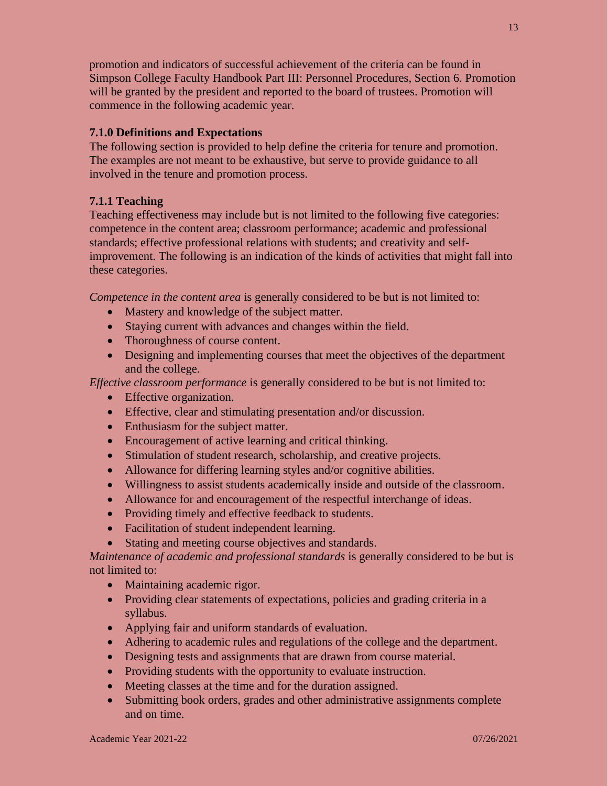promotion and indicators of successful achievement of the criteria can be found in Simpson College Faculty Handbook Part III: Personnel Procedures, Section 6. Promotion will be granted by the president and reported to the board of trustees. Promotion will commence in the following academic year.

# **7.1.0 Definitions and Expectations**

The following section is provided to help define the criteria for tenure and promotion. The examples are not meant to be exhaustive, but serve to provide guidance to all involved in the tenure and promotion process.

# **7.1.1 Teaching**

Teaching effectiveness may include but is not limited to the following five categories: competence in the content area; classroom performance; academic and professional standards; effective professional relations with students; and creativity and selfimprovement. The following is an indication of the kinds of activities that might fall into these categories.

*Competence in the content area* is generally considered to be but is not limited to:

- Mastery and knowledge of the subject matter.
- Staying current with advances and changes within the field.
- Thoroughness of course content.
- Designing and implementing courses that meet the objectives of the department and the college.

*Effective classroom performance* is generally considered to be but is not limited to:

- Effective organization.
- Effective, clear and stimulating presentation and/or discussion.
- Enthusiasm for the subject matter.
- Encouragement of active learning and critical thinking.
- Stimulation of student research, scholarship, and creative projects.
- Allowance for differing learning styles and/or cognitive abilities.
- Willingness to assist students academically inside and outside of the classroom.
- Allowance for and encouragement of the respectful interchange of ideas.
- Providing timely and effective feedback to students.
- Facilitation of student independent learning.
- Stating and meeting course objectives and standards.

*Maintenance of academic and professional standards* is generally considered to be but is not limited to:

- Maintaining academic rigor.
- Providing clear statements of expectations, policies and grading criteria in a syllabus.
- Applying fair and uniform standards of evaluation.
- Adhering to academic rules and regulations of the college and the department.
- Designing tests and assignments that are drawn from course material.
- Providing students with the opportunity to evaluate instruction.
- Meeting classes at the time and for the duration assigned.
- Submitting book orders, grades and other administrative assignments complete and on time.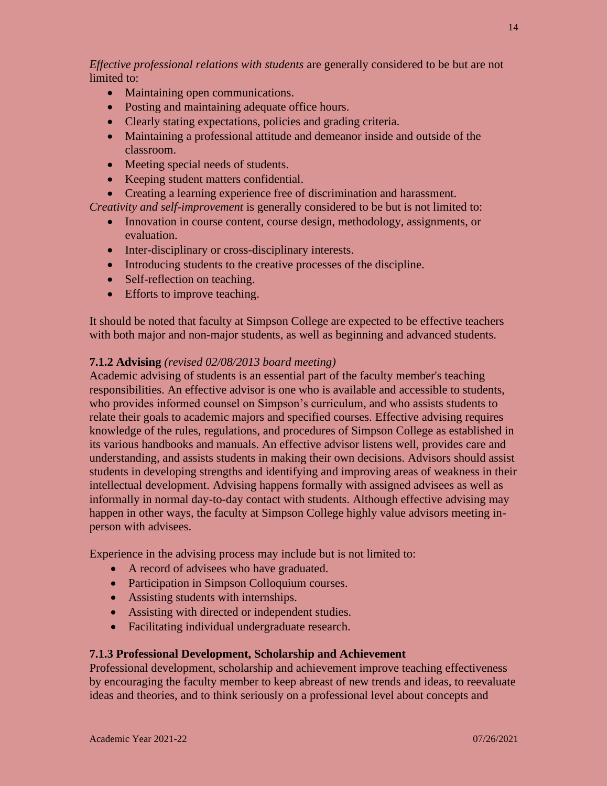*Effective professional relations with students* are generally considered to be but are not limited to:

- Maintaining open communications.
- Posting and maintaining adequate office hours.
- Clearly stating expectations, policies and grading criteria.
- Maintaining a professional attitude and demeanor inside and outside of the classroom.
- Meeting special needs of students.
- Keeping student matters confidential.
- Creating a learning experience free of discrimination and harassment.

*Creativity and self-improvement* is generally considered to be but is not limited to:

- Innovation in course content, course design, methodology, assignments, or evaluation.
- Inter-disciplinary or cross-disciplinary interests.
- Introducing students to the creative processes of the discipline.
- Self-reflection on teaching.
- Efforts to improve teaching.

It should be noted that faculty at Simpson College are expected to be effective teachers with both major and non-major students, as well as beginning and advanced students.

#### **7.1.2 Advising** *(revised 02/08/2013 board meeting)*

Academic advising of students is an essential part of the faculty member's teaching responsibilities. An effective advisor is one who is available and accessible to students, who provides informed counsel on Simpson's curriculum, and who assists students to relate their goals to academic majors and specified courses. Effective advising requires knowledge of the rules, regulations, and procedures of Simpson College as established in its various handbooks and manuals. An effective advisor listens well, provides care and understanding, and assists students in making their own decisions. Advisors should assist students in developing strengths and identifying and improving areas of weakness in their intellectual development. Advising happens formally with assigned advisees as well as informally in normal day-to-day contact with students. Although effective advising may happen in other ways, the faculty at Simpson College highly value advisors meeting inperson with advisees.

Experience in the advising process may include but is not limited to:

- A record of advisees who have graduated.
- Participation in Simpson Colloquium courses.
- Assisting students with internships.
- Assisting with directed or independent studies.
- Facilitating individual undergraduate research.

#### **7.1.3 Professional Development, Scholarship and Achievement**

Professional development, scholarship and achievement improve teaching effectiveness by encouraging the faculty member to keep abreast of new trends and ideas, to reevaluate ideas and theories, and to think seriously on a professional level about concepts and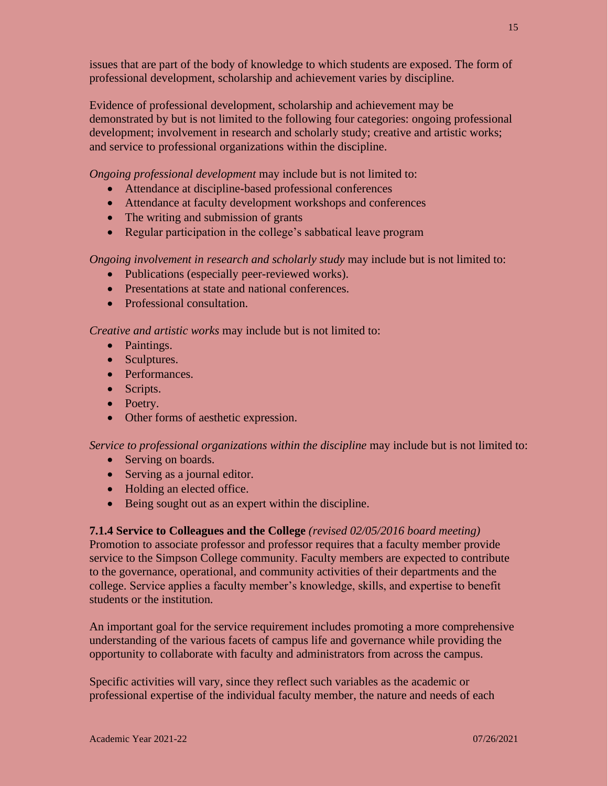issues that are part of the body of knowledge to which students are exposed. The form of professional development, scholarship and achievement varies by discipline.

Evidence of professional development, scholarship and achievement may be demonstrated by but is not limited to the following four categories: ongoing professional development; involvement in research and scholarly study; creative and artistic works; and service to professional organizations within the discipline.

*Ongoing professional development* may include but is not limited to:

- Attendance at discipline-based professional conferences
- Attendance at faculty development workshops and conferences
- The writing and submission of grants
- Regular participation in the college's sabbatical leave program

*Ongoing involvement in research and scholarly study* may include but is not limited to:

- Publications (especially peer-reviewed works).
- Presentations at state and national conferences.
- Professional consultation.

*Creative and artistic works* may include but is not limited to:

- Paintings.
- Sculptures.
- Performances.
- Scripts.
- Poetry.
- Other forms of aesthetic expression.

*Service to professional organizations within the discipline* may include but is not limited to:

- Serving on boards.
- Serving as a journal editor.
- Holding an elected office.
- Being sought out as an expert within the discipline.

**7.1.4 Service to Colleagues and the College** *(revised 02/05/2016 board meeting)*

Promotion to associate professor and professor requires that a faculty member provide service to the Simpson College community. Faculty members are expected to contribute to the governance, operational, and community activities of their departments and the college. Service applies a faculty member's knowledge, skills, and expertise to benefit students or the institution.

An important goal for the service requirement includes promoting a more comprehensive understanding of the various facets of campus life and governance while providing the opportunity to collaborate with faculty and administrators from across the campus.

Specific activities will vary, since they reflect such variables as the academic or professional expertise of the individual faculty member, the nature and needs of each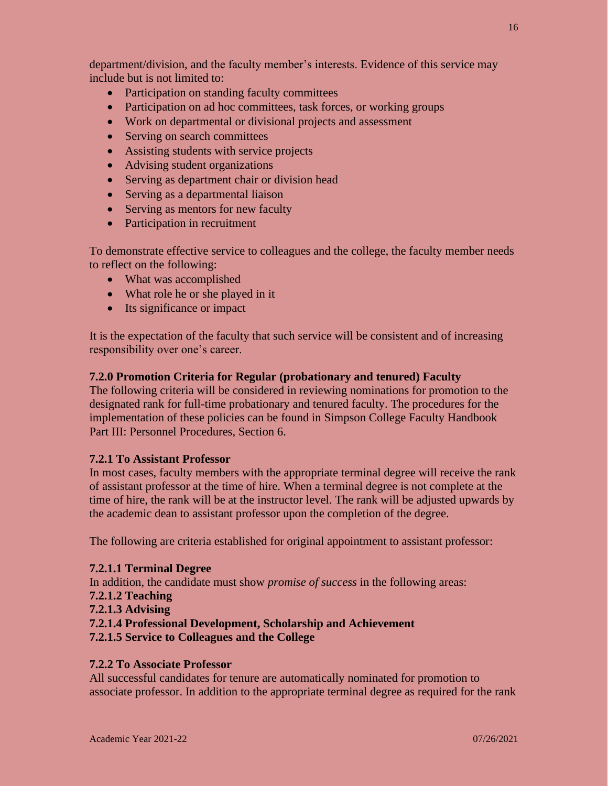department/division, and the faculty member's interests. Evidence of this service may include but is not limited to:

- Participation on standing faculty committees
- Participation on ad hoc committees, task forces, or working groups
- Work on departmental or divisional projects and assessment
- Serving on search committees
- Assisting students with service projects
- Advising student organizations
- Serving as department chair or division head
- Serving as a departmental liaison
- Serving as mentors for new faculty
- Participation in recruitment

To demonstrate effective service to colleagues and the college, the faculty member needs to reflect on the following:

- What was accomplished
- What role he or she played in it
- Its significance or impact

It is the expectation of the faculty that such service will be consistent and of increasing responsibility over one's career.

# **7.2.0 Promotion Criteria for Regular (probationary and tenured) Faculty**

The following criteria will be considered in reviewing nominations for promotion to the designated rank for full-time probationary and tenured faculty. The procedures for the implementation of these policies can be found in Simpson College Faculty Handbook Part III: Personnel Procedures, Section 6.

#### **7.2.1 To Assistant Professor**

In most cases, faculty members with the appropriate terminal degree will receive the rank of assistant professor at the time of hire. When a terminal degree is not complete at the time of hire, the rank will be at the instructor level. The rank will be adjusted upwards by the academic dean to assistant professor upon the completion of the degree.

The following are criteria established for original appointment to assistant professor:

#### **7.2.1.1 Terminal Degree**

In addition, the candidate must show *promise of success* in the following areas:

- **7.2.1.2 Teaching**
- **7.2.1.3 Advising**
- **7.2.1.4 Professional Development, Scholarship and Achievement**
- **7.2.1.5 Service to Colleagues and the College**

# **7.2.2 To Associate Professor**

All successful candidates for tenure are automatically nominated for promotion to associate professor. In addition to the appropriate terminal degree as required for the rank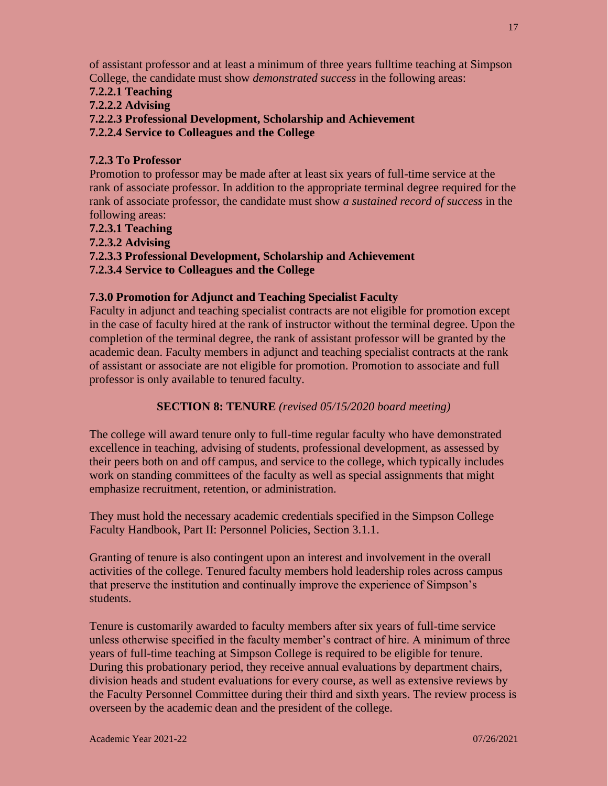of assistant professor and at least a minimum of three years fulltime teaching at Simpson College, the candidate must show *demonstrated success* in the following areas:

**7.2.2.1 Teaching**

# **7.2.2.2 Advising**

**7.2.2.3 Professional Development, Scholarship and Achievement**

**7.2.2.4 Service to Colleagues and the College**

# **7.2.3 To Professor**

Promotion to professor may be made after at least six years of full-time service at the rank of associate professor. In addition to the appropriate terminal degree required for the rank of associate professor, the candidate must show *a sustained record of success* in the following areas:

**7.2.3.1 Teaching**

**7.2.3.2 Advising**

**7.2.3.3 Professional Development, Scholarship and Achievement**

**7.2.3.4 Service to Colleagues and the College**

# **7.3.0 Promotion for Adjunct and Teaching Specialist Faculty**

Faculty in adjunct and teaching specialist contracts are not eligible for promotion except in the case of faculty hired at the rank of instructor without the terminal degree. Upon the completion of the terminal degree, the rank of assistant professor will be granted by the academic dean. Faculty members in adjunct and teaching specialist contracts at the rank of assistant or associate are not eligible for promotion. Promotion to associate and full professor is only available to tenured faculty.

# **SECTION 8: TENURE** *(revised 05/15/2020 board meeting)*

The college will award tenure only to full-time regular faculty who have demonstrated excellence in teaching, advising of students, professional development, as assessed by their peers both on and off campus, and service to the college, which typically includes work on standing committees of the faculty as well as special assignments that might emphasize recruitment, retention, or administration.

They must hold the necessary academic credentials specified in the Simpson College Faculty Handbook, Part II: Personnel Policies, Section 3.1.1.

Granting of tenure is also contingent upon an interest and involvement in the overall activities of the college. Tenured faculty members hold leadership roles across campus that preserve the institution and continually improve the experience of Simpson's students.

Tenure is customarily awarded to faculty members after six years of full-time service unless otherwise specified in the faculty member's contract of hire. A minimum of three years of full-time teaching at Simpson College is required to be eligible for tenure. During this probationary period, they receive annual evaluations by department chairs, division heads and student evaluations for every course, as well as extensive reviews by the Faculty Personnel Committee during their third and sixth years. The review process is overseen by the academic dean and the president of the college.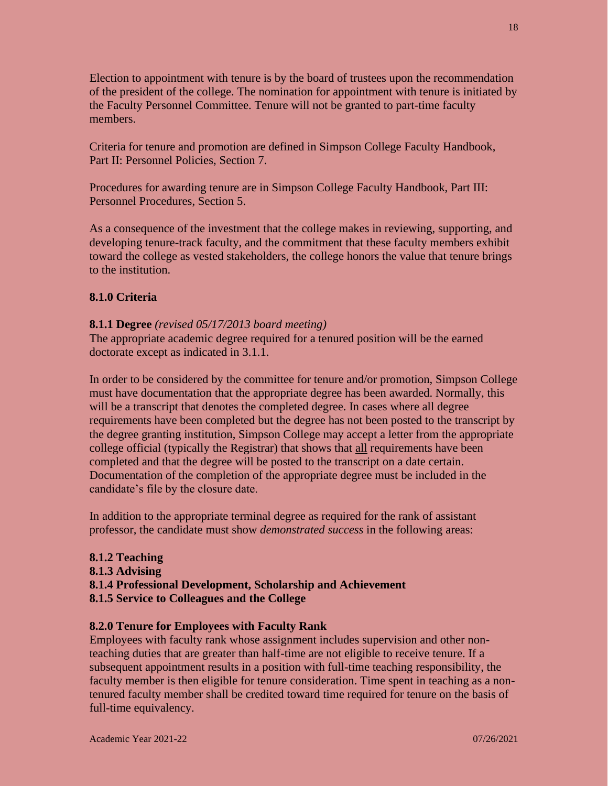Election to appointment with tenure is by the board of trustees upon the recommendation of the president of the college. The nomination for appointment with tenure is initiated by the Faculty Personnel Committee. Tenure will not be granted to part-time faculty members.

Criteria for tenure and promotion are defined in Simpson College Faculty Handbook, Part II: Personnel Policies, Section 7.

Procedures for awarding tenure are in Simpson College Faculty Handbook, Part III: Personnel Procedures, Section 5.

As a consequence of the investment that the college makes in reviewing, supporting, and developing tenure-track faculty, and the commitment that these faculty members exhibit toward the college as vested stakeholders, the college honors the value that tenure brings to the institution.

# **8.1.0 Criteria**

# **8.1.1 Degree** *(revised 05/17/2013 board meeting)*

The appropriate academic degree required for a tenured position will be the earned doctorate except as indicated in 3.1.1.

In order to be considered by the committee for tenure and/or promotion, Simpson College must have documentation that the appropriate degree has been awarded. Normally, this will be a transcript that denotes the completed degree. In cases where all degree requirements have been completed but the degree has not been posted to the transcript by the degree granting institution, Simpson College may accept a letter from the appropriate college official (typically the Registrar) that shows that all requirements have been completed and that the degree will be posted to the transcript on a date certain. Documentation of the completion of the appropriate degree must be included in the candidate's file by the closure date.

In addition to the appropriate terminal degree as required for the rank of assistant professor, the candidate must show *demonstrated success* in the following areas:

# **8.1.2 Teaching 8.1.3 Advising 8.1.4 Professional Development, Scholarship and Achievement 8.1.5 Service to Colleagues and the College**

# **8.2.0 Tenure for Employees with Faculty Rank**

Employees with faculty rank whose assignment includes supervision and other nonteaching duties that are greater than half-time are not eligible to receive tenure. If a subsequent appointment results in a position with full-time teaching responsibility, the faculty member is then eligible for tenure consideration. Time spent in teaching as a nontenured faculty member shall be credited toward time required for tenure on the basis of full-time equivalency.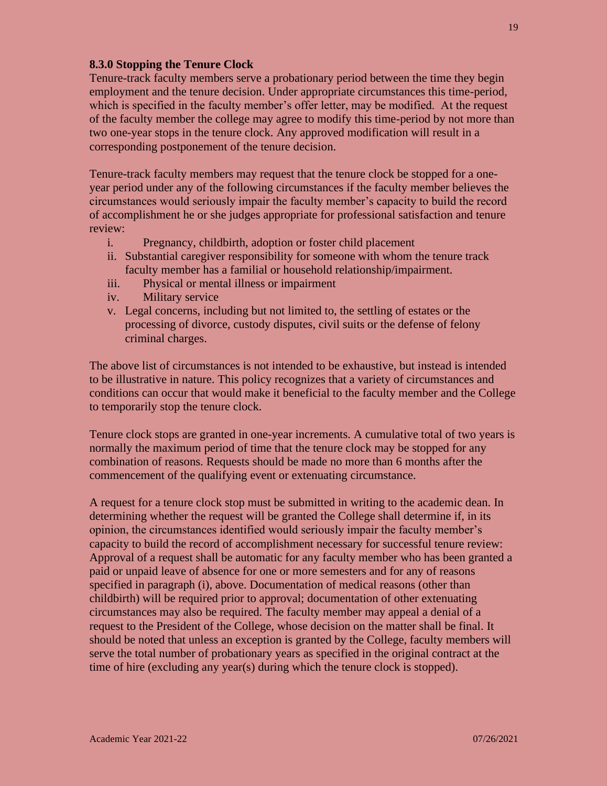#### **8.3.0 Stopping the Tenure Clock**

Tenure-track faculty members serve a probationary period between the time they begin employment and the tenure decision. Under appropriate circumstances this time-period, which is specified in the faculty member's offer letter, may be modified. At the request of the faculty member the college may agree to modify this time-period by not more than two one-year stops in the tenure clock. Any approved modification will result in a corresponding postponement of the tenure decision.

Tenure-track faculty members may request that the tenure clock be stopped for a oneyear period under any of the following circumstances if the faculty member believes the circumstances would seriously impair the faculty member's capacity to build the record of accomplishment he or she judges appropriate for professional satisfaction and tenure review:

- i. Pregnancy, childbirth, adoption or foster child placement
- ii. Substantial caregiver responsibility for someone with whom the tenure track faculty member has a familial or household relationship/impairment.
- iii. Physical or mental illness or impairment
- iv. Military service
- v. Legal concerns, including but not limited to, the settling of estates or the processing of divorce, custody disputes, civil suits or the defense of felony criminal charges.

The above list of circumstances is not intended to be exhaustive, but instead is intended to be illustrative in nature. This policy recognizes that a variety of circumstances and conditions can occur that would make it beneficial to the faculty member and the College to temporarily stop the tenure clock.

Tenure clock stops are granted in one-year increments. A cumulative total of two years is normally the maximum period of time that the tenure clock may be stopped for any combination of reasons. Requests should be made no more than 6 months after the commencement of the qualifying event or extenuating circumstance.

A request for a tenure clock stop must be submitted in writing to the academic dean. In determining whether the request will be granted the College shall determine if, in its opinion, the circumstances identified would seriously impair the faculty member's capacity to build the record of accomplishment necessary for successful tenure review: Approval of a request shall be automatic for any faculty member who has been granted a paid or unpaid leave of absence for one or more semesters and for any of reasons specified in paragraph (i), above. Documentation of medical reasons (other than childbirth) will be required prior to approval; documentation of other extenuating circumstances may also be required. The faculty member may appeal a denial of a request to the President of the College, whose decision on the matter shall be final. It should be noted that unless an exception is granted by the College, faculty members will serve the total number of probationary years as specified in the original contract at the time of hire (excluding any year(s) during which the tenure clock is stopped).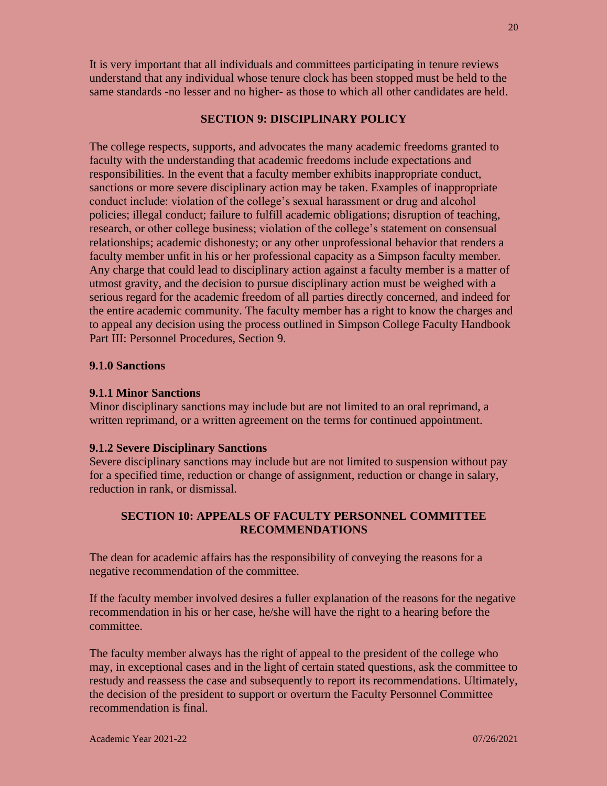It is very important that all individuals and committees participating in tenure reviews understand that any individual whose tenure clock has been stopped must be held to the same standards -no lesser and no higher- as those to which all other candidates are held.

#### **SECTION 9: DISCIPLINARY POLICY**

The college respects, supports, and advocates the many academic freedoms granted to faculty with the understanding that academic freedoms include expectations and responsibilities. In the event that a faculty member exhibits inappropriate conduct, sanctions or more severe disciplinary action may be taken. Examples of inappropriate conduct include: violation of the college's sexual harassment or drug and alcohol policies; illegal conduct; failure to fulfill academic obligations; disruption of teaching, research, or other college business; violation of the college's statement on consensual relationships; academic dishonesty; or any other unprofessional behavior that renders a faculty member unfit in his or her professional capacity as a Simpson faculty member. Any charge that could lead to disciplinary action against a faculty member is a matter of utmost gravity, and the decision to pursue disciplinary action must be weighed with a serious regard for the academic freedom of all parties directly concerned, and indeed for the entire academic community. The faculty member has a right to know the charges and to appeal any decision using the process outlined in Simpson College Faculty Handbook Part III: Personnel Procedures, Section 9.

# **9.1.0 Sanctions**

# **9.1.1 Minor Sanctions**

Minor disciplinary sanctions may include but are not limited to an oral reprimand, a written reprimand, or a written agreement on the terms for continued appointment.

#### **9.1.2 Severe Disciplinary Sanctions**

Severe disciplinary sanctions may include but are not limited to suspension without pay for a specified time, reduction or change of assignment, reduction or change in salary, reduction in rank, or dismissal.

# **SECTION 10: APPEALS OF FACULTY PERSONNEL COMMITTEE RECOMMENDATIONS**

The dean for academic affairs has the responsibility of conveying the reasons for a negative recommendation of the committee.

If the faculty member involved desires a fuller explanation of the reasons for the negative recommendation in his or her case, he/she will have the right to a hearing before the committee.

The faculty member always has the right of appeal to the president of the college who may, in exceptional cases and in the light of certain stated questions, ask the committee to restudy and reassess the case and subsequently to report its recommendations. Ultimately, the decision of the president to support or overturn the Faculty Personnel Committee recommendation is final.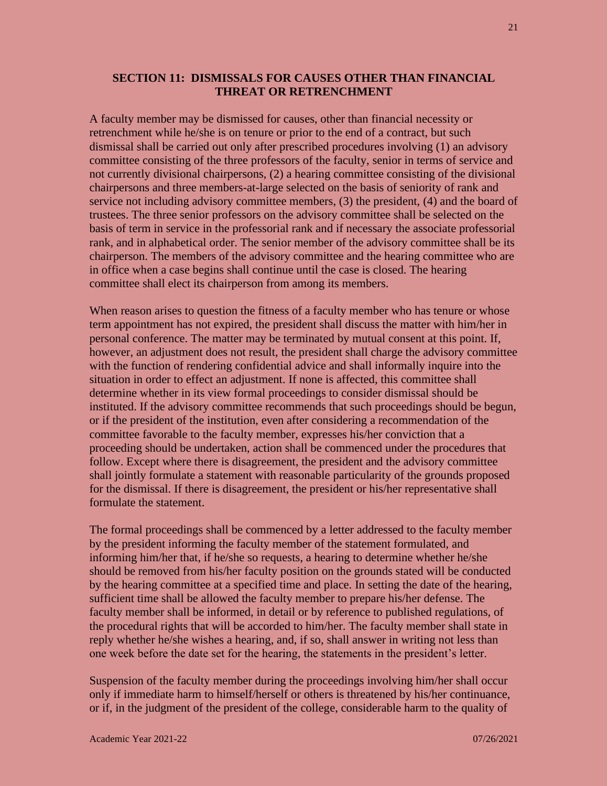# **SECTION 11: DISMISSALS FOR CAUSES OTHER THAN FINANCIAL THREAT OR RETRENCHMENT**

A faculty member may be dismissed for causes, other than financial necessity or retrenchment while he/she is on tenure or prior to the end of a contract, but such dismissal shall be carried out only after prescribed procedures involving (1) an advisory committee consisting of the three professors of the faculty, senior in terms of service and not currently divisional chairpersons, (2) a hearing committee consisting of the divisional chairpersons and three members-at-large selected on the basis of seniority of rank and service not including advisory committee members, (3) the president, (4) and the board of trustees. The three senior professors on the advisory committee shall be selected on the basis of term in service in the professorial rank and if necessary the associate professorial rank, and in alphabetical order. The senior member of the advisory committee shall be its chairperson. The members of the advisory committee and the hearing committee who are in office when a case begins shall continue until the case is closed. The hearing committee shall elect its chairperson from among its members.

When reason arises to question the fitness of a faculty member who has tenure or whose term appointment has not expired, the president shall discuss the matter with him/her in personal conference. The matter may be terminated by mutual consent at this point. If, however, an adjustment does not result, the president shall charge the advisory committee with the function of rendering confidential advice and shall informally inquire into the situation in order to effect an adjustment. If none is affected, this committee shall determine whether in its view formal proceedings to consider dismissal should be instituted. If the advisory committee recommends that such proceedings should be begun, or if the president of the institution, even after considering a recommendation of the committee favorable to the faculty member, expresses his/her conviction that a proceeding should be undertaken, action shall be commenced under the procedures that follow. Except where there is disagreement, the president and the advisory committee shall jointly formulate a statement with reasonable particularity of the grounds proposed for the dismissal. If there is disagreement, the president or his/her representative shall formulate the statement.

The formal proceedings shall be commenced by a letter addressed to the faculty member by the president informing the faculty member of the statement formulated, and informing him/her that, if he/she so requests, a hearing to determine whether he/she should be removed from his/her faculty position on the grounds stated will be conducted by the hearing committee at a specified time and place. In setting the date of the hearing, sufficient time shall be allowed the faculty member to prepare his/her defense. The faculty member shall be informed, in detail or by reference to published regulations, of the procedural rights that will be accorded to him/her. The faculty member shall state in reply whether he/she wishes a hearing, and, if so, shall answer in writing not less than one week before the date set for the hearing, the statements in the president's letter.

Suspension of the faculty member during the proceedings involving him/her shall occur only if immediate harm to himself/herself or others is threatened by his/her continuance, or if, in the judgment of the president of the college, considerable harm to the quality of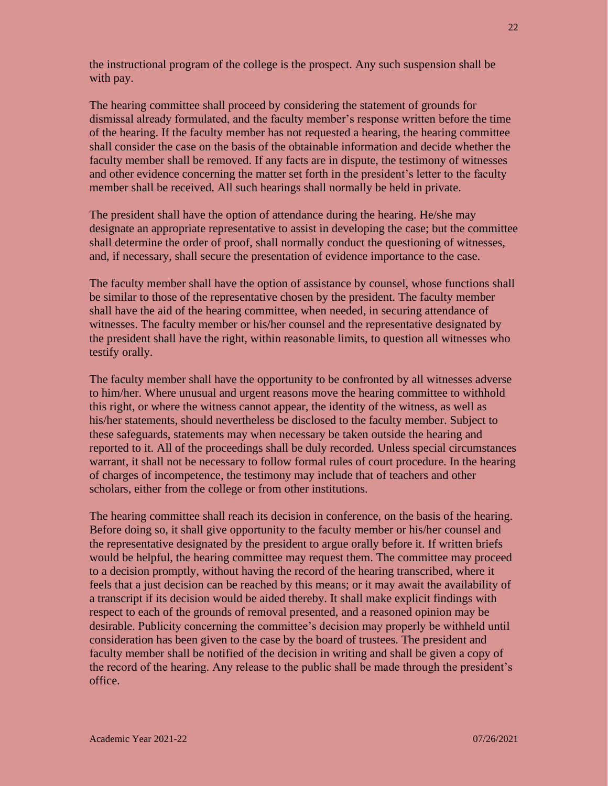the instructional program of the college is the prospect. Any such suspension shall be with pay.

The hearing committee shall proceed by considering the statement of grounds for dismissal already formulated, and the faculty member's response written before the time of the hearing. If the faculty member has not requested a hearing, the hearing committee shall consider the case on the basis of the obtainable information and decide whether the faculty member shall be removed. If any facts are in dispute, the testimony of witnesses and other evidence concerning the matter set forth in the president's letter to the faculty member shall be received. All such hearings shall normally be held in private.

The president shall have the option of attendance during the hearing. He/she may designate an appropriate representative to assist in developing the case; but the committee shall determine the order of proof, shall normally conduct the questioning of witnesses, and, if necessary, shall secure the presentation of evidence importance to the case.

The faculty member shall have the option of assistance by counsel, whose functions shall be similar to those of the representative chosen by the president. The faculty member shall have the aid of the hearing committee, when needed, in securing attendance of witnesses. The faculty member or his/her counsel and the representative designated by the president shall have the right, within reasonable limits, to question all witnesses who testify orally.

The faculty member shall have the opportunity to be confronted by all witnesses adverse to him/her. Where unusual and urgent reasons move the hearing committee to withhold this right, or where the witness cannot appear, the identity of the witness, as well as his/her statements, should nevertheless be disclosed to the faculty member. Subject to these safeguards, statements may when necessary be taken outside the hearing and reported to it. All of the proceedings shall be duly recorded. Unless special circumstances warrant, it shall not be necessary to follow formal rules of court procedure. In the hearing of charges of incompetence, the testimony may include that of teachers and other scholars, either from the college or from other institutions.

The hearing committee shall reach its decision in conference, on the basis of the hearing. Before doing so, it shall give opportunity to the faculty member or his/her counsel and the representative designated by the president to argue orally before it. If written briefs would be helpful, the hearing committee may request them. The committee may proceed to a decision promptly, without having the record of the hearing transcribed, where it feels that a just decision can be reached by this means; or it may await the availability of a transcript if its decision would be aided thereby. It shall make explicit findings with respect to each of the grounds of removal presented, and a reasoned opinion may be desirable. Publicity concerning the committee's decision may properly be withheld until consideration has been given to the case by the board of trustees. The president and faculty member shall be notified of the decision in writing and shall be given a copy of the record of the hearing. Any release to the public shall be made through the president's office.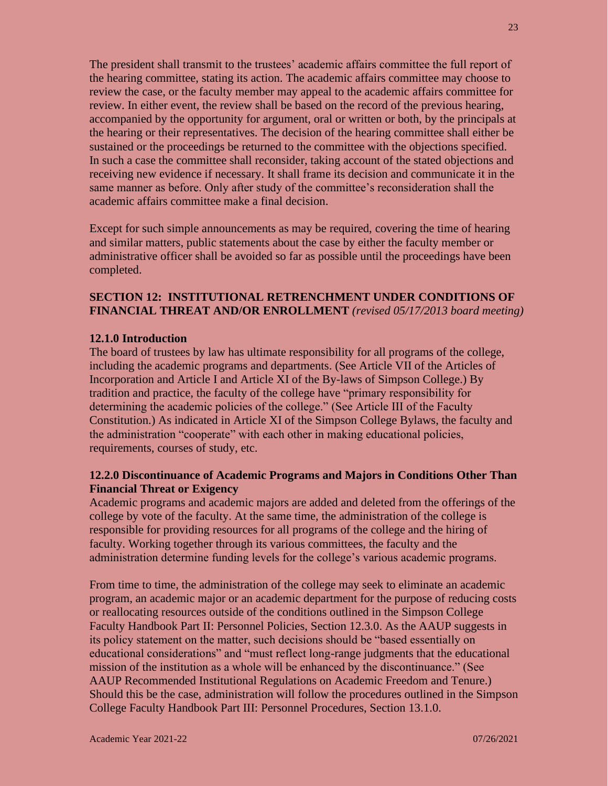The president shall transmit to the trustees' academic affairs committee the full report of the hearing committee, stating its action. The academic affairs committee may choose to review the case, or the faculty member may appeal to the academic affairs committee for review. In either event, the review shall be based on the record of the previous hearing, accompanied by the opportunity for argument, oral or written or both, by the principals at the hearing or their representatives. The decision of the hearing committee shall either be sustained or the proceedings be returned to the committee with the objections specified. In such a case the committee shall reconsider, taking account of the stated objections and receiving new evidence if necessary. It shall frame its decision and communicate it in the same manner as before. Only after study of the committee's reconsideration shall the academic affairs committee make a final decision.

Except for such simple announcements as may be required, covering the time of hearing and similar matters, public statements about the case by either the faculty member or administrative officer shall be avoided so far as possible until the proceedings have been completed.

# **SECTION 12: INSTITUTIONAL RETRENCHMENT UNDER CONDITIONS OF FINANCIAL THREAT AND/OR ENROLLMENT** *(revised 05/17/2013 board meeting)*

#### **12.1.0 Introduction**

The board of trustees by law has ultimate responsibility for all programs of the college, including the academic programs and departments. (See Article VII of the Articles of Incorporation and Article I and Article XI of the By-laws of Simpson College.) By tradition and practice, the faculty of the college have "primary responsibility for determining the academic policies of the college." (See Article III of the Faculty Constitution.) As indicated in Article XI of the Simpson College Bylaws, the faculty and the administration "cooperate" with each other in making educational policies, requirements, courses of study, etc.

# **12.2.0 Discontinuance of Academic Programs and Majors in Conditions Other Than Financial Threat or Exigency**

Academic programs and academic majors are added and deleted from the offerings of the college by vote of the faculty. At the same time, the administration of the college is responsible for providing resources for all programs of the college and the hiring of faculty. Working together through its various committees, the faculty and the administration determine funding levels for the college's various academic programs.

From time to time, the administration of the college may seek to eliminate an academic program, an academic major or an academic department for the purpose of reducing costs or reallocating resources outside of the conditions outlined in the Simpson College Faculty Handbook Part II: Personnel Policies, Section 12.3.0. As the AAUP suggests in its policy statement on the matter, such decisions should be "based essentially on educational considerations" and "must reflect long-range judgments that the educational mission of the institution as a whole will be enhanced by the discontinuance." (See AAUP Recommended Institutional Regulations on Academic Freedom and Tenure.) Should this be the case, administration will follow the procedures outlined in the Simpson College Faculty Handbook Part III: Personnel Procedures, Section 13.1.0.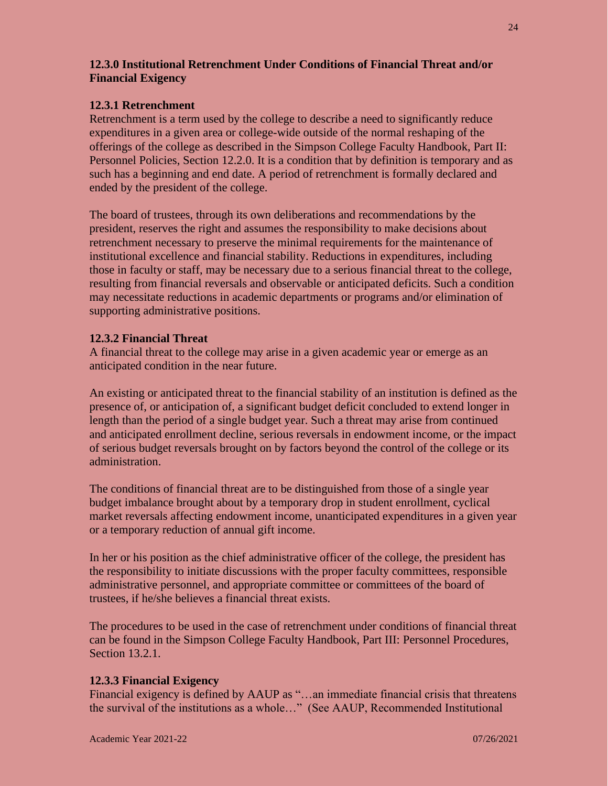# **12.3.0 Institutional Retrenchment Under Conditions of Financial Threat and/or Financial Exigency**

#### **12.3.1 Retrenchment**

Retrenchment is a term used by the college to describe a need to significantly reduce expenditures in a given area or college-wide outside of the normal reshaping of the offerings of the college as described in the Simpson College Faculty Handbook, Part II: Personnel Policies, Section 12.2.0. It is a condition that by definition is temporary and as such has a beginning and end date. A period of retrenchment is formally declared and ended by the president of the college.

The board of trustees, through its own deliberations and recommendations by the president, reserves the right and assumes the responsibility to make decisions about retrenchment necessary to preserve the minimal requirements for the maintenance of institutional excellence and financial stability. Reductions in expenditures, including those in faculty or staff, may be necessary due to a serious financial threat to the college, resulting from financial reversals and observable or anticipated deficits. Such a condition may necessitate reductions in academic departments or programs and/or elimination of supporting administrative positions.

#### **12.3.2 Financial Threat**

A financial threat to the college may arise in a given academic year or emerge as an anticipated condition in the near future.

An existing or anticipated threat to the financial stability of an institution is defined as the presence of, or anticipation of, a significant budget deficit concluded to extend longer in length than the period of a single budget year. Such a threat may arise from continued and anticipated enrollment decline, serious reversals in endowment income, or the impact of serious budget reversals brought on by factors beyond the control of the college or its administration.

The conditions of financial threat are to be distinguished from those of a single year budget imbalance brought about by a temporary drop in student enrollment, cyclical market reversals affecting endowment income, unanticipated expenditures in a given year or a temporary reduction of annual gift income.

In her or his position as the chief administrative officer of the college, the president has the responsibility to initiate discussions with the proper faculty committees, responsible administrative personnel, and appropriate committee or committees of the board of trustees, if he/she believes a financial threat exists.

The procedures to be used in the case of retrenchment under conditions of financial threat can be found in the Simpson College Faculty Handbook, Part III: Personnel Procedures, Section 13.2.1.

#### **12.3.3 Financial Exigency**

Financial exigency is defined by AAUP as "…an immediate financial crisis that threatens the survival of the institutions as a whole…" (See AAUP, Recommended Institutional